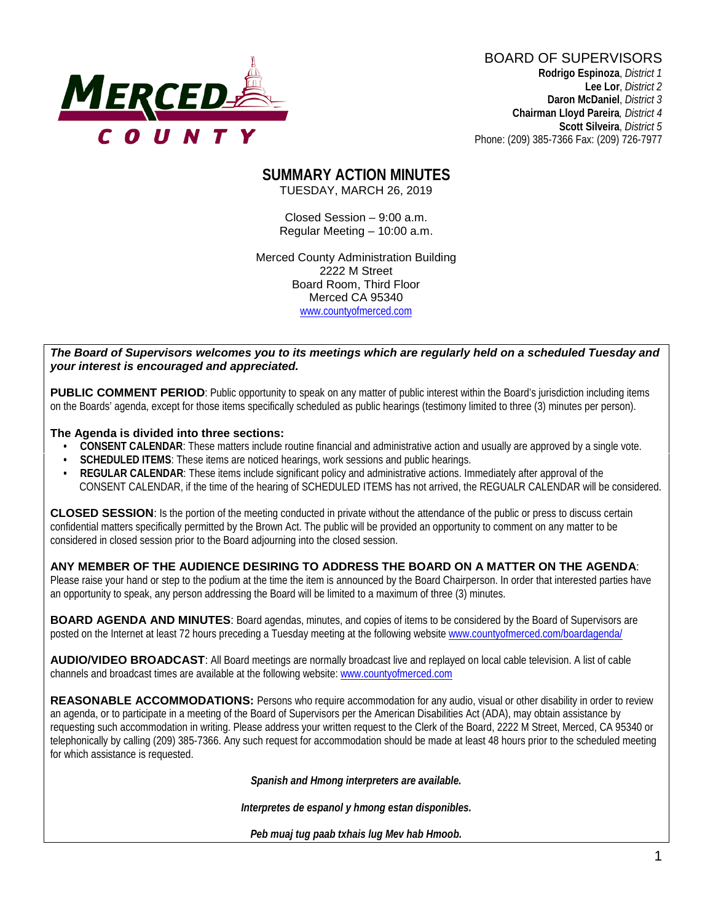

BOARD OF SUPERVISORS **Rodrigo Espinoza**, *District 1*  **Lee Lor**, *District 2*  **Daron McDaniel**, *District 3* **Chairman Lloyd Pareira***, District 4*

 **Scott Silveira**, *District 5* Phone: (209) 385-7366 Fax: (209) 726-7977

#### **SUMMARY ACTION MINUTES** TUESDAY, MARCH 26, 2019

Closed Session – 9:00 a.m. Regular Meeting – 10:00 a.m.

Merced County Administration Building 2222 M Street Board Room, Third Floor Merced CA 95340 www.countyofmerced.com

#### *The Board of Supervisors welcomes you to its meetings which are regularly held on a scheduled Tuesday and your interest is encouraged and appreciated.*

**PUBLIC COMMENT PERIOD:** Public opportunity to speak on any matter of public interest within the Board's jurisdiction including items on the Boards' agenda, except for those items specifically scheduled as public hearings (testimony limited to three (3) minutes per person).

#### **The Agenda is divided into three sections:**

- **CONSENT CALENDAR**: These matters include routine financial and administrative action and usually are approved by a single vote.
- **SCHEDULED ITEMS:** These items are noticed hearings, work sessions and public hearings.
- **REGULAR CALENDAR**: These items include significant policy and administrative actions. Immediately after approval of the CONSENT CALENDAR, if the time of the hearing of SCHEDULED ITEMS has not arrived, the REGUALR CALENDAR will be considered.

**CLOSED SESSION**: Is the portion of the meeting conducted in private without the attendance of the public or press to discuss certain confidential matters specifically permitted by the Brown Act. The public will be provided an opportunity to comment on any matter to be considered in closed session prior to the Board adjourning into the closed session.

#### **ANY MEMBER OF THE AUDIENCE DESIRING TO ADDRESS THE BOARD ON A MATTER ON THE AGENDA**:

Please raise your hand or step to the podium at the time the item is announced by the Board Chairperson. In order that interested parties have an opportunity to speak, any person addressing the Board will be limited to a maximum of three (3) minutes.

**BOARD AGENDA AND MINUTES:** Board agendas, minutes, and copies of items to be considered by the Board of Supervisors are posted on the Internet at least 72 hours preceding a Tuesday meeting at the following website [www.countyofmerced.com/boardagenda/](http://www.countyofmerced.com/boardagenda/) 

**AUDIO/VIDEO BROADCAST**: All Board meetings are normally broadcast live and replayed on local cable television. A list of cable channels and broadcast times are available at the following website[: www.countyofmerced.com](http://www.countyofmerced.com/)

**REASONABLE ACCOMMODATIONS:** Persons who require accommodation for any audio, visual or other disability in order to review an agenda, or to participate in a meeting of the Board of Supervisors per the American Disabilities Act (ADA), may obtain assistance by requesting such accommodation in writing. Please address your written request to the Clerk of the Board, 2222 M Street, Merced, CA 95340 or telephonically by calling (209) 385-7366. Any such request for accommodation should be made at least 48 hours prior to the scheduled meeting for which assistance is requested.

*Spanish and Hmong interpreters are available.*

*Interpretes de espanol y hmong estan disponibles.*

*Peb muaj tug paab txhais lug Mev hab Hmoob.*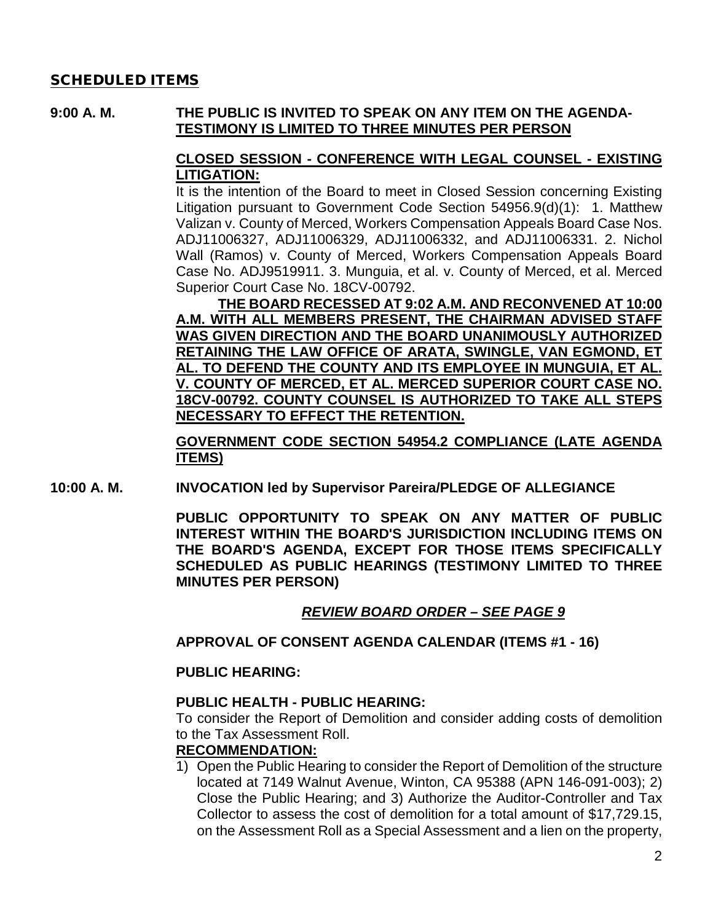#### SCHEDULED ITEMS

#### **9:00 A. M. THE PUBLIC IS INVITED TO SPEAK ON ANY ITEM ON THE AGENDA-TESTIMONY IS LIMITED TO THREE MINUTES PER PERSON**

#### **CLOSED SESSION - CONFERENCE WITH LEGAL COUNSEL - EXISTING LITIGATION:**

It is the intention of the Board to meet in Closed Session concerning Existing Litigation pursuant to Government Code Section 54956.9(d)(1): 1. Matthew Valizan v. County of Merced, Workers Compensation Appeals Board Case Nos. ADJ11006327, ADJ11006329, ADJ11006332, and ADJ11006331. 2. Nichol Wall (Ramos) v. County of Merced, Workers Compensation Appeals Board Case No. ADJ9519911. 3. Munguia, et al. v. County of Merced, et al. Merced Superior Court Case No. 18CV-00792.

**THE BOARD RECESSED AT 9:02 A.M. AND RECONVENED AT 10:00 A.M. WITH ALL MEMBERS PRESENT, THE CHAIRMAN ADVISED STAFF WAS GIVEN DIRECTION AND THE BOARD UNANIMOUSLY AUTHORIZED RETAINING THE LAW OFFICE OF ARATA, SWINGLE, VAN EGMOND, ET AL. TO DEFEND THE COUNTY AND ITS EMPLOYEE IN MUNGUIA, ET AL. V. COUNTY OF MERCED, ET AL. MERCED SUPERIOR COURT CASE NO. 18CV-00792. COUNTY COUNSEL IS AUTHORIZED TO TAKE ALL STEPS NECESSARY TO EFFECT THE RETENTION.**

**GOVERNMENT CODE SECTION 54954.2 COMPLIANCE (LATE AGENDA ITEMS)**

**10:00 A. M. INVOCATION led by Supervisor Pareira/PLEDGE OF ALLEGIANCE**

**PUBLIC OPPORTUNITY TO SPEAK ON ANY MATTER OF PUBLIC INTEREST WITHIN THE BOARD'S JURISDICTION INCLUDING ITEMS ON THE BOARD'S AGENDA, EXCEPT FOR THOSE ITEMS SPECIFICALLY SCHEDULED AS PUBLIC HEARINGS (TESTIMONY LIMITED TO THREE MINUTES PER PERSON)**

#### *REVIEW BOARD ORDER – SEE PAGE 9*

**APPROVAL OF CONSENT AGENDA CALENDAR (ITEMS #1 - 16)**

#### **PUBLIC HEARING:**

#### **PUBLIC HEALTH - PUBLIC HEARING:**

To consider the Report of Demolition and consider adding costs of demolition to the Tax Assessment Roll.

#### **RECOMMENDATION:**

1) Open the Public Hearing to consider the Report of Demolition of the structure located at 7149 Walnut Avenue, Winton, CA 95388 (APN 146-091-003); 2) Close the Public Hearing; and 3) Authorize the Auditor-Controller and Tax Collector to assess the cost of demolition for a total amount of \$17,729.15, on the Assessment Roll as a Special Assessment and a lien on the property,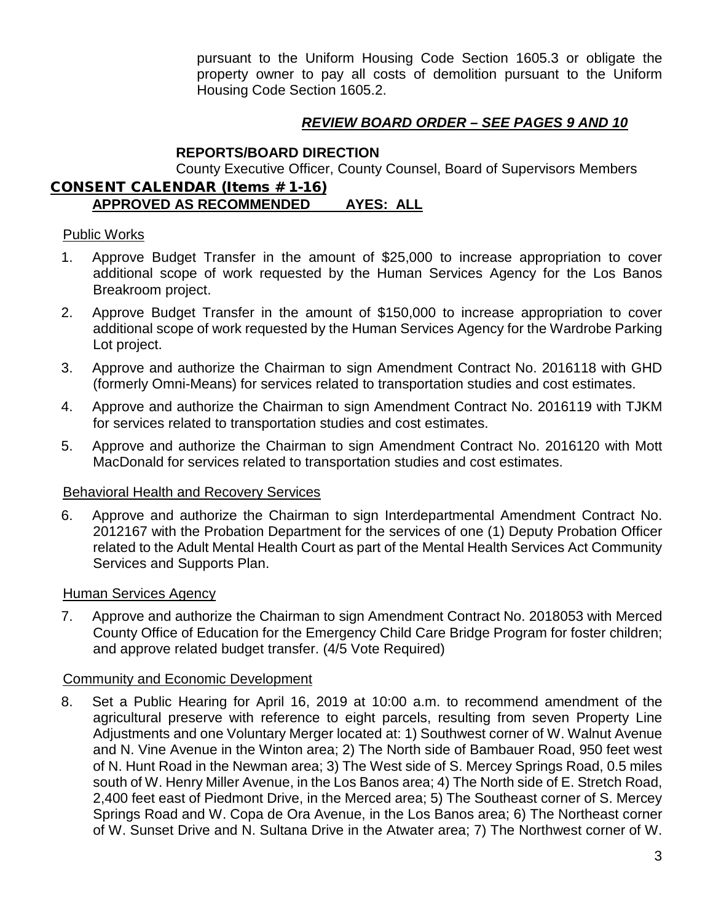pursuant to the Uniform Housing Code Section 1605.3 or obligate the property owner to pay all costs of demolition pursuant to the Uniform Housing Code Section 1605.2.

# *REVIEW BOARD ORDER – SEE PAGES 9 AND 10*

#### **REPORTS/BOARD DIRECTION**

County Executive Officer, County Counsel, Board of Supervisors Members CONSENT CALENDAR (Items # 1-16)

# **APPROVED AS RECOMMENDED AYES: ALL**

#### Public Works

- 1. Approve Budget Transfer in the amount of \$25,000 to increase appropriation to cover additional scope of work requested by the Human Services Agency for the Los Banos Breakroom project.
- 2. Approve Budget Transfer in the amount of \$150,000 to increase appropriation to cover additional scope of work requested by the Human Services Agency for the Wardrobe Parking Lot project.
- 3. Approve and authorize the Chairman to sign Amendment Contract No. 2016118 with GHD (formerly Omni-Means) for services related to transportation studies and cost estimates.
- 4. Approve and authorize the Chairman to sign Amendment Contract No. 2016119 with TJKM for services related to transportation studies and cost estimates.
- 5. Approve and authorize the Chairman to sign Amendment Contract No. 2016120 with Mott MacDonald for services related to transportation studies and cost estimates.

#### Behavioral Health and Recovery Services

6. Approve and authorize the Chairman to sign Interdepartmental Amendment Contract No. 2012167 with the Probation Department for the services of one (1) Deputy Probation Officer related to the Adult Mental Health Court as part of the Mental Health Services Act Community Services and Supports Plan.

#### Human Services Agency

7. Approve and authorize the Chairman to sign Amendment Contract No. 2018053 with Merced County Office of Education for the Emergency Child Care Bridge Program for foster children; and approve related budget transfer. (4/5 Vote Required)

#### Community and Economic Development

8. Set a Public Hearing for April 16, 2019 at 10:00 a.m. to recommend amendment of the agricultural preserve with reference to eight parcels, resulting from seven Property Line Adjustments and one Voluntary Merger located at: 1) Southwest corner of W. Walnut Avenue and N. Vine Avenue in the Winton area; 2) The North side of Bambauer Road, 950 feet west of N. Hunt Road in the Newman area; 3) The West side of S. Mercey Springs Road, 0.5 miles south of W. Henry Miller Avenue, in the Los Banos area; 4) The North side of E. Stretch Road, 2,400 feet east of Piedmont Drive, in the Merced area; 5) The Southeast corner of S. Mercey Springs Road and W. Copa de Ora Avenue, in the Los Banos area; 6) The Northeast corner of W. Sunset Drive and N. Sultana Drive in the Atwater area; 7) The Northwest corner of W.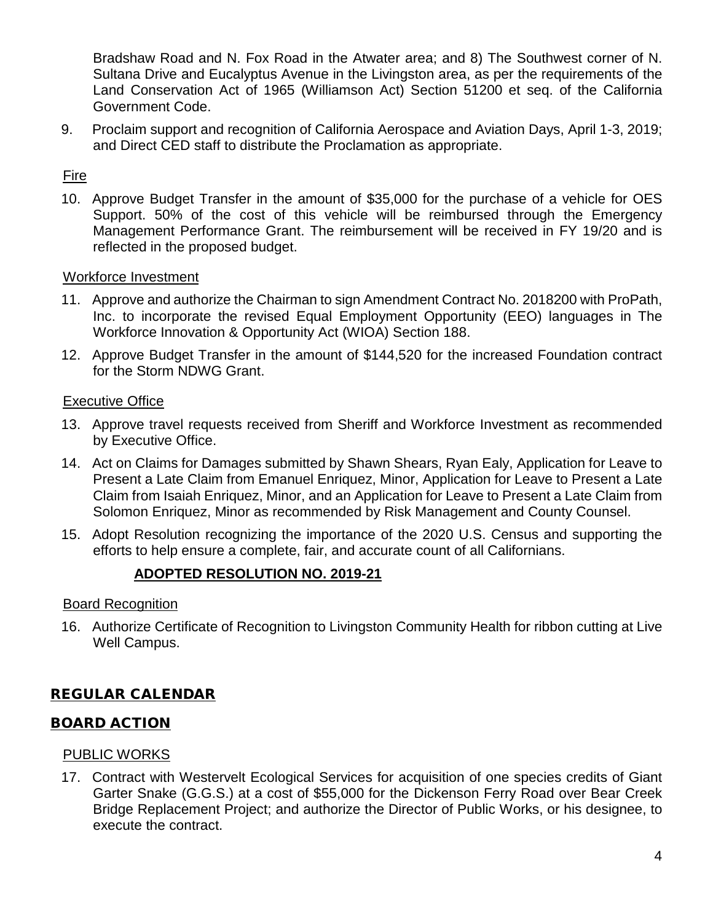Bradshaw Road and N. Fox Road in the Atwater area; and 8) The Southwest corner of N. Sultana Drive and Eucalyptus Avenue in the Livingston area, as per the requirements of the Land Conservation Act of 1965 (Williamson Act) Section 51200 et seq. of the California Government Code.

9. Proclaim support and recognition of California Aerospace and Aviation Days, April 1-3, 2019; and Direct CED staff to distribute the Proclamation as appropriate.

# **Fire**

10. Approve Budget Transfer in the amount of \$35,000 for the purchase of a vehicle for OES Support. 50% of the cost of this vehicle will be reimbursed through the Emergency Management Performance Grant. The reimbursement will be received in FY 19/20 and is reflected in the proposed budget.

#### Workforce Investment

- 11. Approve and authorize the Chairman to sign Amendment Contract No. 2018200 with ProPath, Inc. to incorporate the revised Equal Employment Opportunity (EEO) languages in The Workforce Innovation & Opportunity Act (WIOA) Section 188.
- 12. Approve Budget Transfer in the amount of \$144,520 for the increased Foundation contract for the Storm NDWG Grant.

## Executive Office

- 13. Approve travel requests received from Sheriff and Workforce Investment as recommended by Executive Office.
- 14. Act on Claims for Damages submitted by Shawn Shears, Ryan Ealy, Application for Leave to Present a Late Claim from Emanuel Enriquez, Minor, Application for Leave to Present a Late Claim from Isaiah Enriquez, Minor, and an Application for Leave to Present a Late Claim from Solomon Enriquez, Minor as recommended by Risk Management and County Counsel.
- 15. Adopt Resolution recognizing the importance of the 2020 U.S. Census and supporting the efforts to help ensure a complete, fair, and accurate count of all Californians.

# **ADOPTED RESOLUTION NO. 2019-21**

#### Board Recognition

16. Authorize Certificate of Recognition to Livingston Community Health for ribbon cutting at Live Well Campus.

# REGULAR CALENDAR

# BOARD ACTION

#### PUBLIC WORKS

17. Contract with Westervelt Ecological Services for acquisition of one species credits of Giant Garter Snake (G.G.S.) at a cost of \$55,000 for the Dickenson Ferry Road over Bear Creek Bridge Replacement Project; and authorize the Director of Public Works, or his designee, to execute the contract.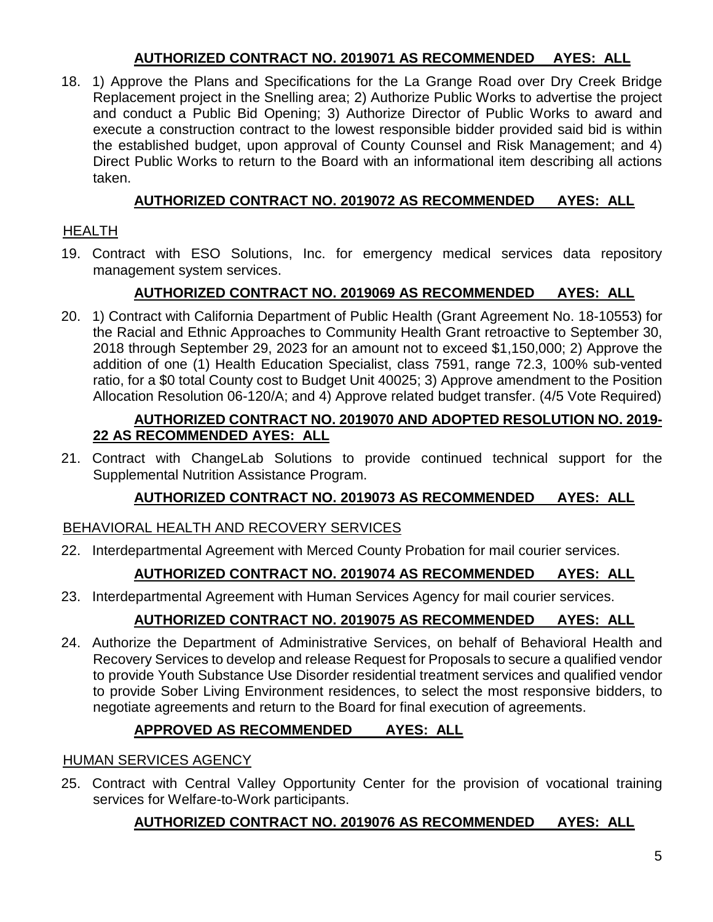# **AUTHORIZED CONTRACT NO. 2019071 AS RECOMMENDED AYES: ALL**

18. 1) Approve the Plans and Specifications for the La Grange Road over Dry Creek Bridge Replacement project in the Snelling area; 2) Authorize Public Works to advertise the project and conduct a Public Bid Opening; 3) Authorize Director of Public Works to award and execute a construction contract to the lowest responsible bidder provided said bid is within the established budget, upon approval of County Counsel and Risk Management; and 4) Direct Public Works to return to the Board with an informational item describing all actions taken.

# **AUTHORIZED CONTRACT NO. 2019072 AS RECOMMENDED AYES: ALL**

# HEALTH

19. Contract with ESO Solutions, Inc. for emergency medical services data repository management system services.

# **AUTHORIZED CONTRACT NO. 2019069 AS RECOMMENDED AYES: ALL**

20. 1) Contract with California Department of Public Health (Grant Agreement No. 18-10553) for the Racial and Ethnic Approaches to Community Health Grant retroactive to September 30, 2018 through September 29, 2023 for an amount not to exceed \$1,150,000; 2) Approve the addition of one (1) Health Education Specialist, class 7591, range 72.3, 100% sub-vented ratio, for a \$0 total County cost to Budget Unit 40025; 3) Approve amendment to the Position Allocation Resolution 06-120/A; and 4) Approve related budget transfer. (4/5 Vote Required)

## **AUTHORIZED CONTRACT NO. 2019070 AND ADOPTED RESOLUTION NO. 2019- 22 AS RECOMMENDED AYES: ALL**

21. Contract with ChangeLab Solutions to provide continued technical support for the Supplemental Nutrition Assistance Program.

# **AUTHORIZED CONTRACT NO. 2019073 AS RECOMMENDED AYES: ALL**

# BEHAVIORAL HEALTH AND RECOVERY SERVICES

22. Interdepartmental Agreement with Merced County Probation for mail courier services.

# **AUTHORIZED CONTRACT NO. 2019074 AS RECOMMENDED AYES: ALL**

23. Interdepartmental Agreement with Human Services Agency for mail courier services.

# **AUTHORIZED CONTRACT NO. 2019075 AS RECOMMENDED AYES: ALL**

24. Authorize the Department of Administrative Services, on behalf of Behavioral Health and Recovery Services to develop and release Request for Proposals to secure a qualified vendor to provide Youth Substance Use Disorder residential treatment services and qualified vendor to provide Sober Living Environment residences, to select the most responsive bidders, to negotiate agreements and return to the Board for final execution of agreements.

# **APPROVED AS RECOMMENDED AYES: ALL**

# HUMAN SERVICES AGENCY

25. Contract with Central Valley Opportunity Center for the provision of vocational training services for Welfare-to-Work participants.

# **AUTHORIZED CONTRACT NO. 2019076 AS RECOMMENDED AYES: ALL**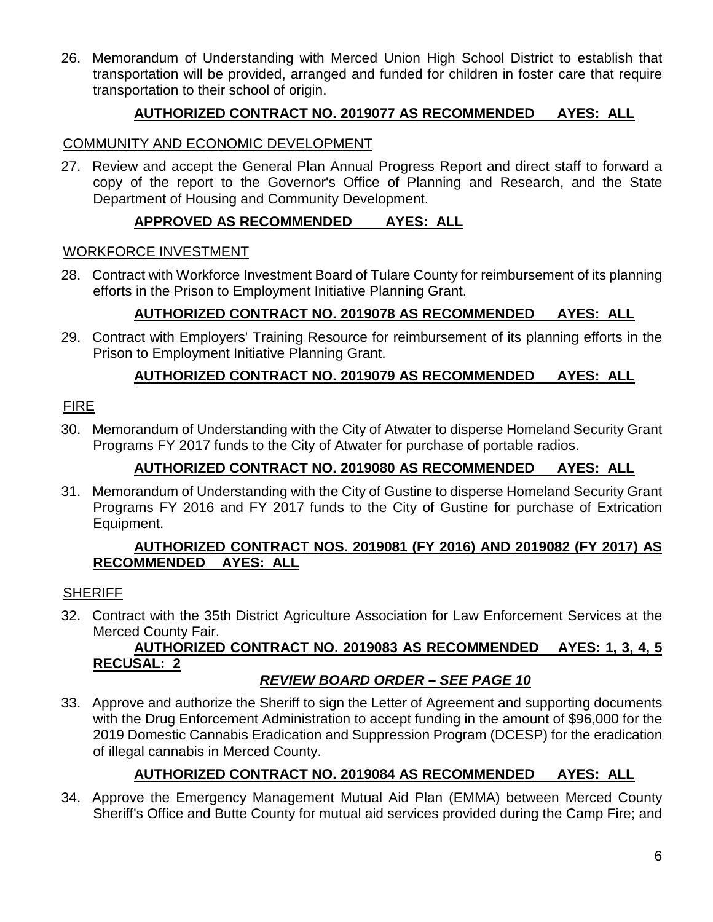26. Memorandum of Understanding with Merced Union High School District to establish that transportation will be provided, arranged and funded for children in foster care that require transportation to their school of origin.

# **AUTHORIZED CONTRACT NO. 2019077 AS RECOMMENDED AYES: ALL**

## COMMUNITY AND ECONOMIC DEVELOPMENT

27. Review and accept the General Plan Annual Progress Report and direct staff to forward a copy of the report to the Governor's Office of Planning and Research, and the State Department of Housing and Community Development.

# **APPROVED AS RECOMMENDED AYES: ALL**

#### WORKFORCE INVESTMENT

28. Contract with Workforce Investment Board of Tulare County for reimbursement of its planning efforts in the Prison to Employment Initiative Planning Grant.

## **AUTHORIZED CONTRACT NO. 2019078 AS RECOMMENDED AYES: ALL**

29. Contract with Employers' Training Resource for reimbursement of its planning efforts in the Prison to Employment Initiative Planning Grant.

## **AUTHORIZED CONTRACT NO. 2019079 AS RECOMMENDED AYES: ALL**

## FIRE

30. Memorandum of Understanding with the City of Atwater to disperse Homeland Security Grant Programs FY 2017 funds to the City of Atwater for purchase of portable radios.

## **AUTHORIZED CONTRACT NO. 2019080 AS RECOMMENDED AYES: ALL**

31. Memorandum of Understanding with the City of Gustine to disperse Homeland Security Grant Programs FY 2016 and FY 2017 funds to the City of Gustine for purchase of Extrication Equipment.

#### **AUTHORIZED CONTRACT NOS. 2019081 (FY 2016) AND 2019082 (FY 2017) AS RECOMMENDED AYES: ALL**

#### **SHERIFF**

32. Contract with the 35th District Agriculture Association for Law Enforcement Services at the Merced County Fair.

# **AUTHORIZED CONTRACT NO. 2019083 AS RECOMMENDED AYES: 1, 3, 4, 5 RECUSAL: 2**

#### *REVIEW BOARD ORDER – SEE PAGE 10*

33. Approve and authorize the Sheriff to sign the Letter of Agreement and supporting documents with the Drug Enforcement Administration to accept funding in the amount of \$96,000 for the 2019 Domestic Cannabis Eradication and Suppression Program (DCESP) for the eradication of illegal cannabis in Merced County.

# **AUTHORIZED CONTRACT NO. 2019084 AS RECOMMENDED AYES: ALL**

34. Approve the Emergency Management Mutual Aid Plan (EMMA) between Merced County Sheriff's Office and Butte County for mutual aid services provided during the Camp Fire; and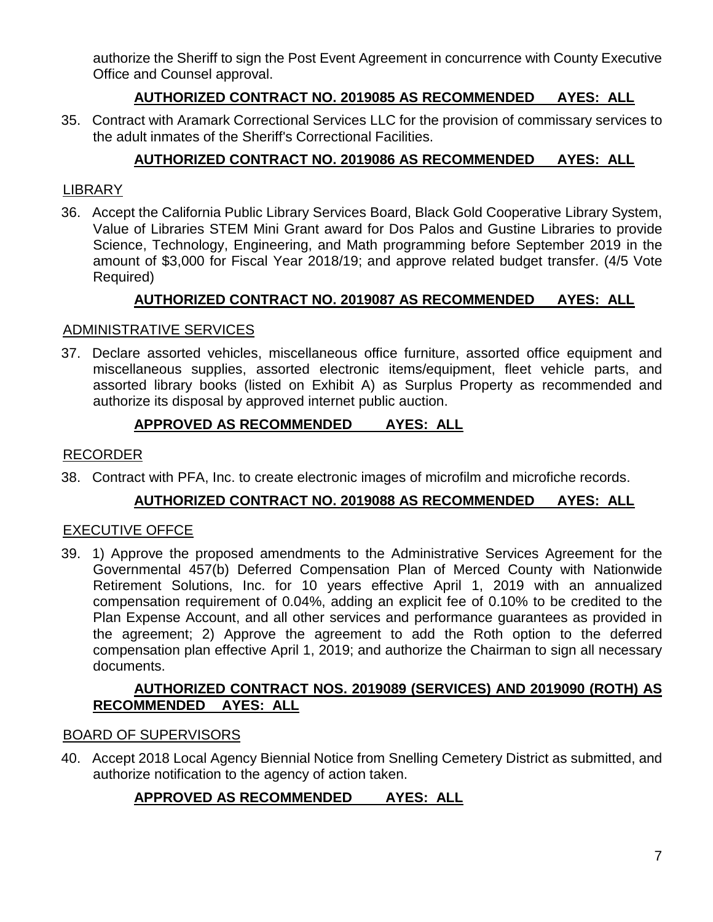authorize the Sheriff to sign the Post Event Agreement in concurrence with County Executive Office and Counsel approval.

# **AUTHORIZED CONTRACT NO. 2019085 AS RECOMMENDED AYES: ALL**

35. Contract with Aramark Correctional Services LLC for the provision of commissary services to the adult inmates of the Sheriff's Correctional Facilities.

# **AUTHORIZED CONTRACT NO. 2019086 AS RECOMMENDED AYES: ALL**

## LIBRARY

36. Accept the California Public Library Services Board, Black Gold Cooperative Library System, Value of Libraries STEM Mini Grant award for Dos Palos and Gustine Libraries to provide Science, Technology, Engineering, and Math programming before September 2019 in the amount of \$3,000 for Fiscal Year 2018/19; and approve related budget transfer. (4/5 Vote Required)

# **AUTHORIZED CONTRACT NO. 2019087 AS RECOMMENDED AYES: ALL**

#### ADMINISTRATIVE SERVICES

37. Declare assorted vehicles, miscellaneous office furniture, assorted office equipment and miscellaneous supplies, assorted electronic items/equipment, fleet vehicle parts, and assorted library books (listed on Exhibit A) as Surplus Property as recommended and authorize its disposal by approved internet public auction.

# **APPROVED AS RECOMMENDED AYES: ALL**

## RECORDER

38. Contract with PFA, Inc. to create electronic images of microfilm and microfiche records.

#### **AUTHORIZED CONTRACT NO. 2019088 AS RECOMMENDED AYES: ALL**

#### EXECUTIVE OFFCE

39. 1) Approve the proposed amendments to the Administrative Services Agreement for the Governmental 457(b) Deferred Compensation Plan of Merced County with Nationwide Retirement Solutions, Inc. for 10 years effective April 1, 2019 with an annualized compensation requirement of 0.04%, adding an explicit fee of 0.10% to be credited to the Plan Expense Account, and all other services and performance guarantees as provided in the agreement; 2) Approve the agreement to add the Roth option to the deferred compensation plan effective April 1, 2019; and authorize the Chairman to sign all necessary documents.

#### **AUTHORIZED CONTRACT NOS. 2019089 (SERVICES) AND 2019090 (ROTH) AS RECOMMENDED AYES: ALL**

#### BOARD OF SUPERVISORS

40. Accept 2018 Local Agency Biennial Notice from Snelling Cemetery District as submitted, and authorize notification to the agency of action taken.

# **APPROVED AS RECOMMENDED AYES: ALL**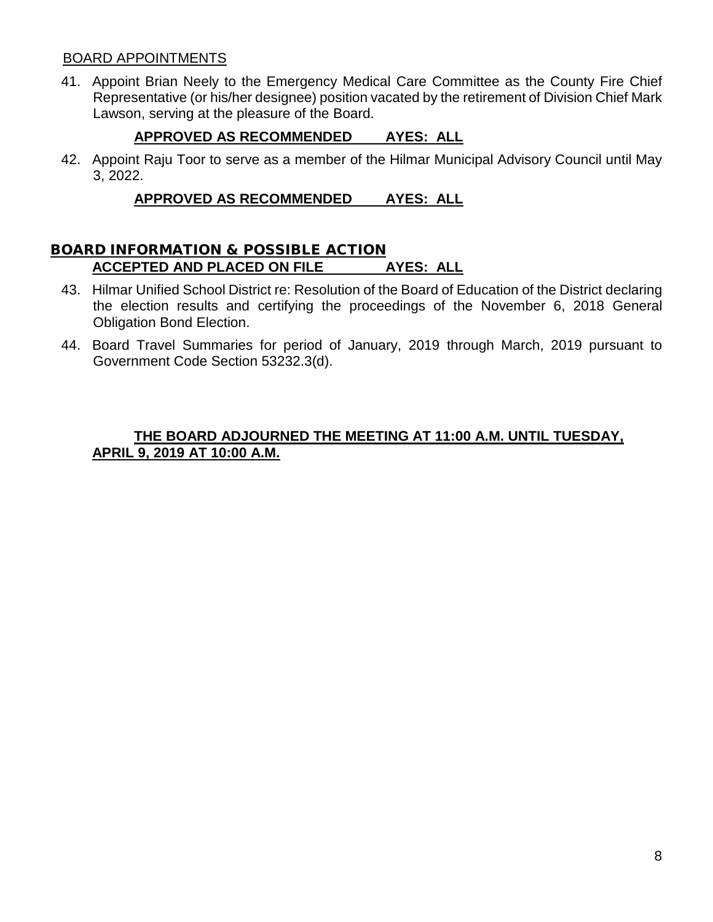#### BOARD APPOINTMENTS

41. Appoint Brian Neely to the Emergency Medical Care Committee as the County Fire Chief Representative (or his/her designee) position vacated by the retirement of Division Chief Mark Lawson, serving at the pleasure of the Board.

# **APPROVED AS RECOMMENDED AYES: ALL**

42. Appoint Raju Toor to serve as a member of the Hilmar Municipal Advisory Council until May 3, 2022.

# **APPROVED AS RECOMMENDED AYES: ALL**

## BOARD INFORMATION & POSSIBLE ACTION **ACCEPTED AND PLACED ON FILE AYES: ALL**

- 43. Hilmar Unified School District re: Resolution of the Board of Education of the District declaring the election results and certifying the proceedings of the November 6, 2018 General Obligation Bond Election.
- 44. Board Travel Summaries for period of January, 2019 through March, 2019 pursuant to Government Code Section 53232.3(d).

#### **THE BOARD ADJOURNED THE MEETING AT 11:00 A.M. UNTIL TUESDAY, APRIL 9, 2019 AT 10:00 A.M.**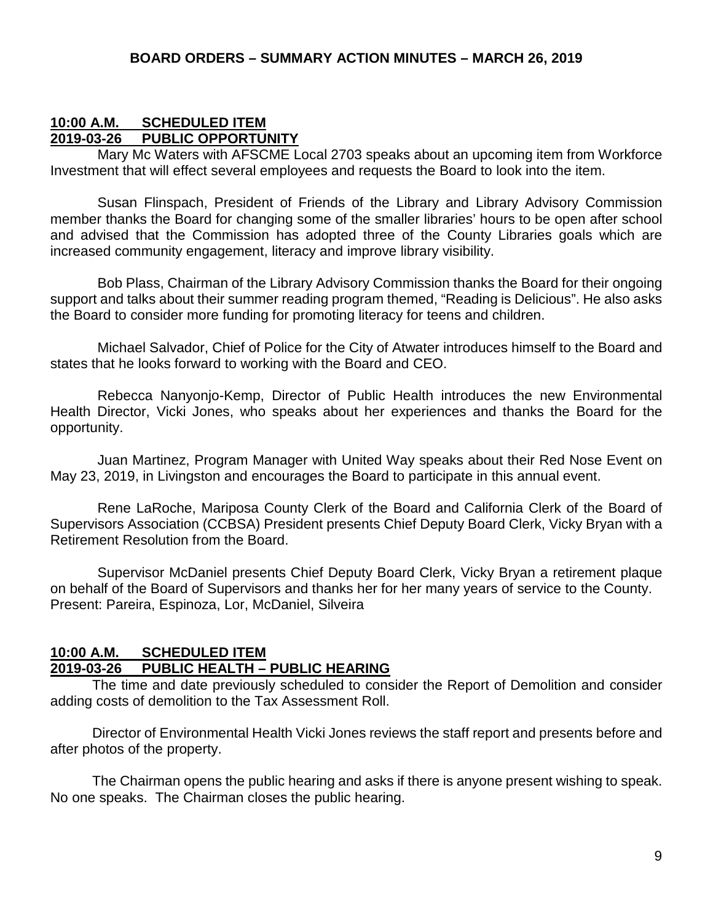## **10:00 A.M. SCHEDULED ITEM 2019-03-26 PUBLIC OPPORTUNITY**

Mary Mc Waters with AFSCME Local 2703 speaks about an upcoming item from Workforce Investment that will effect several employees and requests the Board to look into the item.

Susan Flinspach, President of Friends of the Library and Library Advisory Commission member thanks the Board for changing some of the smaller libraries' hours to be open after school and advised that the Commission has adopted three of the County Libraries goals which are increased community engagement, literacy and improve library visibility.

Bob Plass, Chairman of the Library Advisory Commission thanks the Board for their ongoing support and talks about their summer reading program themed, "Reading is Delicious". He also asks the Board to consider more funding for promoting literacy for teens and children.

Michael Salvador, Chief of Police for the City of Atwater introduces himself to the Board and states that he looks forward to working with the Board and CEO.

Rebecca Nanyonjo-Kemp, Director of Public Health introduces the new Environmental Health Director, Vicki Jones, who speaks about her experiences and thanks the Board for the opportunity.

Juan Martinez, Program Manager with United Way speaks about their Red Nose Event on May 23, 2019, in Livingston and encourages the Board to participate in this annual event.

Rene LaRoche, Mariposa County Clerk of the Board and California Clerk of the Board of Supervisors Association (CCBSA) President presents Chief Deputy Board Clerk, Vicky Bryan with a Retirement Resolution from the Board.

Supervisor McDaniel presents Chief Deputy Board Clerk, Vicky Bryan a retirement plaque on behalf of the Board of Supervisors and thanks her for her many years of service to the County. Present: Pareira, Espinoza, Lor, McDaniel, Silveira

#### **10:00 A.M. SCHEDULED ITEM 2019-03-26 PUBLIC HEALTH – PUBLIC HEARING**

The time and date previously scheduled to consider the Report of Demolition and consider adding costs of demolition to the Tax Assessment Roll.

Director of Environmental Health Vicki Jones reviews the staff report and presents before and after photos of the property.

The Chairman opens the public hearing and asks if there is anyone present wishing to speak. No one speaks. The Chairman closes the public hearing.